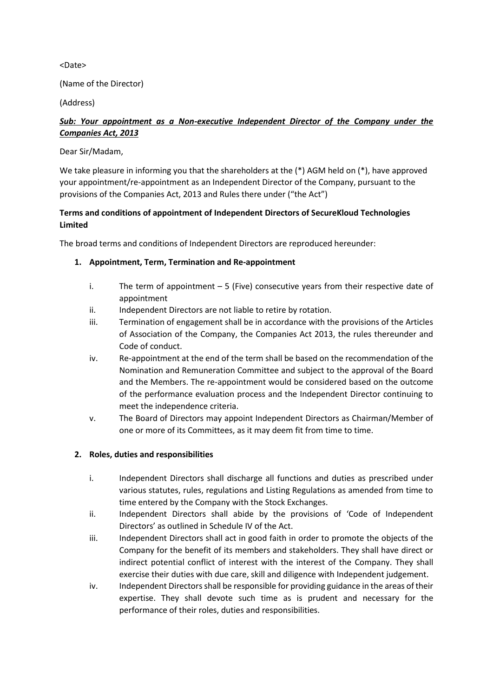<Date>

(Name of the Director)

(Address)

# *Sub: Your appointment as a Non-executive Independent Director of the Company under the Companies Act, 2013*

#### Dear Sir/Madam,

We take pleasure in informing you that the shareholders at the  $(*)$  AGM held on  $(*)$ , have approved your appointment/re-appointment as an Independent Director of the Company, pursuant to the provisions of the Companies Act, 2013 and Rules there under ("the Act")

# **Terms and conditions of appointment of Independent Directors of SecureKloud Technologies Limited**

The broad terms and conditions of Independent Directors are reproduced hereunder:

#### **1. Appointment, Term, Termination and Re-appointment**

- i. The term of appointment  $-5$  (Five) consecutive years from their respective date of appointment
- ii. Independent Directors are not liable to retire by rotation.
- iii. Termination of engagement shall be in accordance with the provisions of the Articles of Association of the Company, the Companies Act 2013, the rules thereunder and Code of conduct.
- iv. Re-appointment at the end of the term shall be based on the recommendation of the Nomination and Remuneration Committee and subject to the approval of the Board and the Members. The re-appointment would be considered based on the outcome of the performance evaluation process and the Independent Director continuing to meet the independence criteria.
- v. The Board of Directors may appoint Independent Directors as Chairman/Member of one or more of its Committees, as it may deem fit from time to time.

## **2. Roles, duties and responsibilities**

- i. Independent Directors shall discharge all functions and duties as prescribed under various statutes, rules, regulations and Listing Regulations as amended from time to time entered by the Company with the Stock Exchanges.
- ii. Independent Directors shall abide by the provisions of 'Code of Independent Directors' as outlined in Schedule IV of the Act.
- iii. Independent Directors shall act in good faith in order to promote the objects of the Company for the benefit of its members and stakeholders. They shall have direct or indirect potential conflict of interest with the interest of the Company. They shall exercise their duties with due care, skill and diligence with Independent judgement.
- iv. Independent Directors shall be responsible for providing guidance in the areas of their expertise. They shall devote such time as is prudent and necessary for the performance of their roles, duties and responsibilities.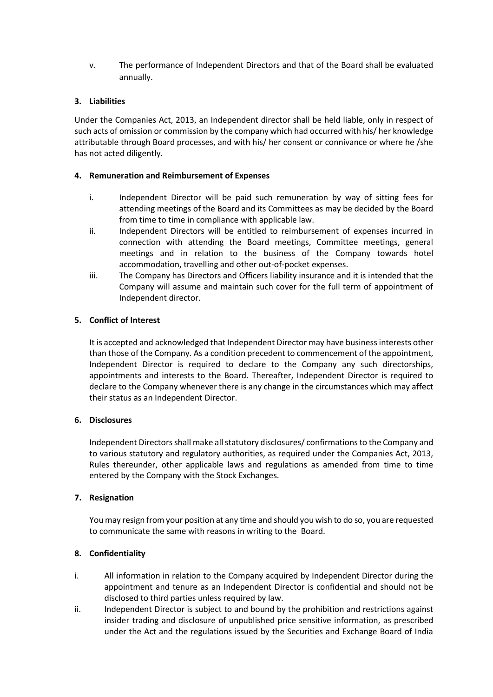v. The performance of Independent Directors and that of the Board shall be evaluated annually.

### **3. Liabilities**

Under the Companies Act, 2013, an Independent director shall be held liable, only in respect of such acts of omission or commission by the company which had occurred with his/ her knowledge attributable through Board processes, and with his/ her consent or connivance or where he /she has not acted diligently.

#### **4. Remuneration and Reimbursement of Expenses**

- i. Independent Director will be paid such remuneration by way of sitting fees for attending meetings of the Board and its Committees as may be decided by the Board from time to time in compliance with applicable law.
- ii. Independent Directors will be entitled to reimbursement of expenses incurred in connection with attending the Board meetings, Committee meetings, general meetings and in relation to the business of the Company towards hotel accommodation, travelling and other out-of-pocket expenses.
- iii. The Company has Directors and Officers liability insurance and it is intended that the Company will assume and maintain such cover for the full term of appointment of Independent director.

## **5. Conflict of Interest**

It is accepted and acknowledged that Independent Director may have business interests other than those of the Company. As a condition precedent to commencement of the appointment, Independent Director is required to declare to the Company any such directorships, appointments and interests to the Board. Thereafter, Independent Director is required to declare to the Company whenever there is any change in the circumstances which may affect their status as an Independent Director.

## **6. Disclosures**

Independent Directors shall make all statutory disclosures/ confirmations to the Company and to various statutory and regulatory authorities, as required under the Companies Act, 2013, Rules thereunder, other applicable laws and regulations as amended from time to time entered by the Company with the Stock Exchanges.

## **7. Resignation**

You may resign from your position at any time and should you wish to do so, you are requested to communicate the same with reasons in writing to the Board.

## **8. Confidentiality**

- i. All information in relation to the Company acquired by Independent Director during the appointment and tenure as an Independent Director is confidential and should not be disclosed to third parties unless required by law.
- ii. Independent Director is subject to and bound by the prohibition and restrictions against insider trading and disclosure of unpublished price sensitive information, as prescribed under the Act and the regulations issued by the Securities and Exchange Board of India